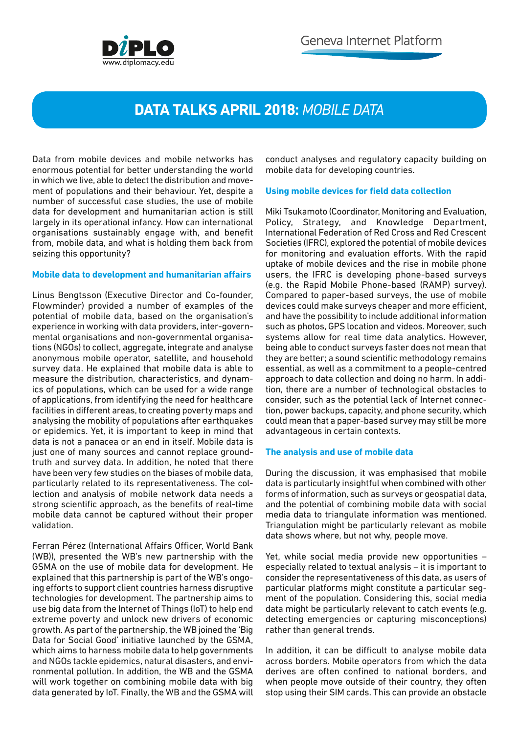

# **DATA TALKS APRIL 2018:** *MOBILE DATA*

Data from mobile devices and mobile networks has enormous potential for better understanding the world in which we live, able to detect the distribution and movement of populations and their behaviour. Yet, despite a number of successful case studies, the use of mobile data for development and humanitarian action is still largely in its operational infancy. How can international organisations sustainably engage with, and benefit from, mobile data, and what is holding them back from seizing this opportunity?

### **Mobile data to development and humanitarian affairs**

Linus Bengtsson (Executive Director and Co-founder, Flowminder) provided a number of examples of the potential of mobile data, based on the organisation's experience in working with data providers, inter-governmental organisations and non-governmental organisations (NGOs) to collect, aggregate, integrate and analyse anonymous mobile operator, satellite, and household survey data. He explained that mobile data is able to measure the distribution, characteristics, and dynamics of populations, which can be used for a wide range of applications, from identifying the need for healthcare facilities in different areas, to creating poverty maps and analysing the mobility of populations after earthquakes or epidemics. Yet, it is important to keep in mind that data is not a panacea or an end in itself. Mobile data is just one of many sources and cannot replace groundtruth and survey data. In addition, he noted that there have been very few studies on the biases of mobile data, particularly related to its representativeness. The collection and analysis of mobile network data needs a strong scientific approach, as the benefits of real-time mobile data cannot be captured without their proper validation.

Ferran Pérez (International Affairs Officer, World Bank (WB)), presented the WB's new partnership with the GSMA on the use of mobile data for development. He explained that this partnership is part of the WB's ongoing efforts to support client countries harness disruptive technologies for development. The partnership aims to use big data from the Internet of Things (IoT) to help end extreme poverty and unlock new drivers of economic growth. As part of the partnership, the WB joined the 'Big Data for Social Good' initiative launched by the GSMA, which aims to harness mobile data to help governments and NGOs tackle epidemics, natural disasters, and environmental pollution. In addition, the WB and the GSMA will work together on combining mobile data with big data generated by IoT. Finally, the WB and the GSMA will

conduct analyses and regulatory capacity building on mobile data for developing countries.

### **Using mobile devices for field data collection**

Miki Tsukamoto (Coordinator, Monitoring and Evaluation, Policy, Strategy, and Knowledge Department, International Federation of Red Cross and Red Crescent Societies (IFRC), explored the potential of mobile devices for monitoring and evaluation efforts. With the rapid uptake of mobile devices and the rise in mobile phone users, the IFRC is developing phone-based surveys (e.g. the Rapid Mobile Phone-based (RAMP) survey). Compared to paper-based surveys, the use of mobile devices could make surveys cheaper and more efficient, and have the possibility to include additional information such as photos, GPS location and videos. Moreover, such systems allow for real time data analytics. However, being able to conduct surveys faster does not mean that they are better; a sound scientific methodology remains essential, as well as a commitment to a people-centred approach to data collection and doing no harm. In addition, there are a number of technological obstacles to consider, such as the potential lack of Internet connection, power backups, capacity, and phone security, which could mean that a paper-based survey may still be more advantageous in certain contexts.

### **The analysis and use of mobile data**

During the discussion, it was emphasised that mobile data is particularly insightful when combined with other forms of information, such as surveys or geospatial data, and the potential of combining mobile data with social media data to triangulate information was mentioned. Triangulation might be particularly relevant as mobile data shows where, but not why, people move.

Yet, while social media provide new opportunities – especially related to textual analysis – it is important to consider the representativeness of this data, as users of particular platforms might constitute a particular segment of the population. Considering this, social media data might be particularly relevant to catch events (e.g. detecting emergencies or capturing misconceptions) rather than general trends.

In addition, it can be difficult to analyse mobile data across borders. Mobile operators from which the data derives are often confined to national borders, and when people move outside of their country, they often stop using their SIM cards. This can provide an obstacle